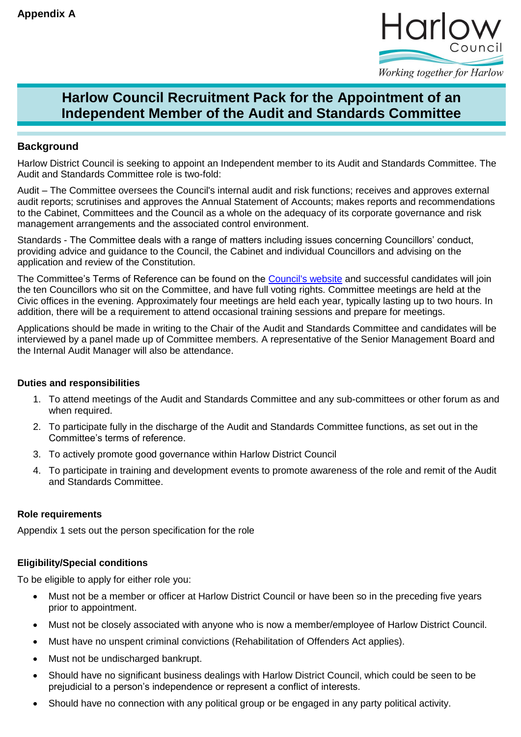

## Working together for Harlow

# **Harlow Council Recruitment Pack for the Appointment of an Independent Member of the Audit and Standards Committee**

## **Background**

Harlow District Council is seeking to appoint an Independent member to its Audit and Standards Committee. The Audit and Standards Committee role is two-fold:

Audit – The Committee oversees the Council's internal audit and risk functions; receives and approves external audit reports; scrutinises and approves the Annual Statement of Accounts; makes reports and recommendations to the Cabinet, Committees and the Council as a whole on the adequacy of its corporate governance and risk management arrangements and the associated control environment.

Standards - The Committee deals with a range of matters including issues concerning Councillors' conduct, providing advice and guidance to the Council, the Cabinet and individual Councillors and advising on the application and review of the Constitution.

The Committee's Terms of Reference can be found on the [Council's website](http://moderngov.harlow.gov.uk/ieListMeetings.aspx?CId=120&Year=0) and successful candidates will join the ten Councillors who sit on the Committee, and have full voting rights. Committee meetings are held at the Civic offices in the evening. Approximately four meetings are held each year, typically lasting up to two hours. In addition, there will be a requirement to attend occasional training sessions and prepare for meetings.

Applications should be made in writing to the Chair of the Audit and Standards Committee and candidates will be interviewed by a panel made up of Committee members. A representative of the Senior Management Board and the Internal Audit Manager will also be attendance.

## **Duties and responsibilities**

- 1. To attend meetings of the Audit and Standards Committee and any sub-committees or other forum as and when required.
- 2. To participate fully in the discharge of the Audit and Standards Committee functions, as set out in the Committee's terms of reference.
- 3. To actively promote good governance within Harlow District Council
- 4. To participate in training and development events to promote awareness of the role and remit of the Audit and Standards Committee.

#### **Role requirements**

Appendix 1 sets out the person specification for the role

# **Eligibility/Special conditions**

To be eligible to apply for either role you:

- Must not be a member or officer at Harlow District Council or have been so in the preceding five years prior to appointment.
- Must not be closely associated with anyone who is now a member/employee of Harlow District Council.
- Must have no unspent criminal convictions (Rehabilitation of Offenders Act applies).
- Must not be undischarged bankrupt.
- Should have no significant business dealings with Harlow District Council, which could be seen to be prejudicial to a person's independence or represent a conflict of interests.
- Should have no connection with any political group or be engaged in any party political activity.